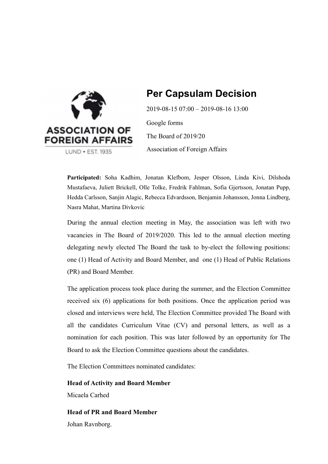

## **Per Capsulam Decision**

2019-08-15 07:00 – 2019-08-16 13:00

Google forms The Board of 2019/20 Association of Foreign Affairs

**Participated:** Soha Kadhim, Jonatan Klefbom, Jesper Olsson, Linda Kivi, Dilshoda Mustafaeva, Juliett Brickell, Olle Tolke, Fredrik Fahlman, Sofia Gjertsson, Jonatan Pupp, Hedda Carlsson, Sanjin Alagic, Rebecca Edvardsson, Benjamin Johansson, Jonna Lindberg, Nasra Mahat, Martina Divkovic

During the annual election meeting in May, the association was left with two vacancies in The Board of 2019/2020. This led to the annual election meeting delegating newly elected The Board the task to by-elect the following positions: one (1) Head of Activity and Board Member, and one (1) Head of Public Relations (PR) and Board Member.

The application process took place during the summer, and the Election Committee received six (6) applications for both positions. Once the application period was closed and interviews were held, The Election Committee provided The Board with all the candidates Curriculum Vitae (CV) and personal letters, as well as a nomination for each position. This was later followed by an opportunity for The Board to ask the Election Committee questions about the candidates.

The Election Committees nominated candidates:

**Head of Activity and Board Member** Micaela Carhed

**Head of PR and Board Member** Johan Ravnborg.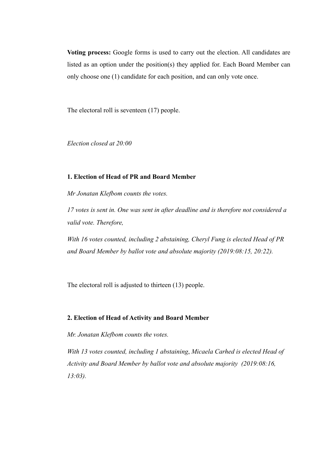**Voting process:** Google forms is used to carry out the election. All candidates are listed as an option under the position(s) they applied for. Each Board Member can only choose one (1) candidate for each position, and can only vote once.

The electoral roll is seventeen (17) people.

*Election closed at 20:00* 

## **1. Election of Head of PR and Board Member**

*Mr Jonatan Klefbom counts the votes.* 

*17 votes is sent in. One was sent in after deadline and is therefore not considered a valid vote. Therefore,* 

*With 16 votes counted, including 2 abstaining, Cheryl Fung is elected Head of PR and Board Member by ballot vote and absolute majority (2019:08:15, 20:22).* 

The electoral roll is adjusted to thirteen (13) people.

## **2. Election of Head of Activity and Board Member**

*Mr. Jonatan Klefbom counts the votes.* 

*With 13 votes counted, including 1 abstaining*, *Micaela Carhed is elected Head of Activity and Board Member by ballot vote and absolute majority (2019:08:16, 13:03).*